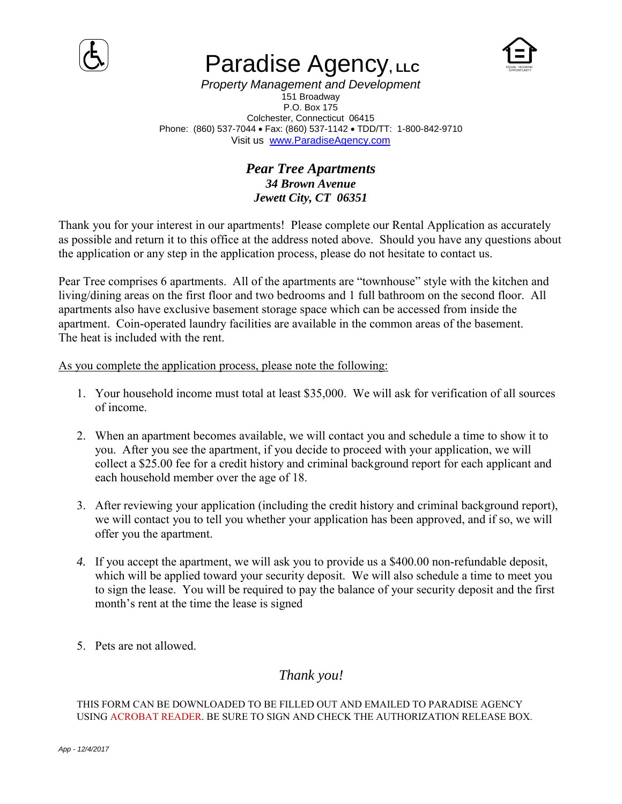

# **Paradise Agency, LLC**



*Property Management and Development* 151 Broadway P.O. Box 175 Colchester, Connecticut 06415 Phone: (860) 537-7044 · Fax: (860) 537-1142 · TDD/TT: 1-800-842-9710 Visit us [www.ParadiseAgency.com](http://www.paradiseagency.com/)

### *Pear Tree Apartments 34 Brown Avenue Jewett City, CT 06351*

Thank you for your interest in our apartments! Please complete our Rental Application as accurately as possible and return it to this office at the address noted above. Should you have any questions about the application or any step in the application process, please do not hesitate to contact us.

Pear Tree comprises 6 apartments. All of the apartments are "townhouse" style with the kitchen and living/dining areas on the first floor and two bedrooms and 1 full bathroom on the second floor. All apartments also have exclusive basement storage space which can be accessed from inside the apartment. Coin-operated laundry facilities are available in the common areas of the basement. The heat is included with the rent.

As you complete the application process, please note the following:

- 1. Your household income must total at least \$35,000. We will ask for verification of all sources of income.
- 2. When an apartment becomes available, we will contact you and schedule a time to show it to you. After you see the apartment, if you decide to proceed with your application, we will collect a \$25.00 fee for a credit history and criminal background report for each applicant and each household member over the age of 18.
- 3. After reviewing your application (including the credit history and criminal background report), we will contact you to tell you whether your application has been approved, and if so, we will offer you the apartment.
- *4.* If you accept the apartment, we will ask you to provide us a \$400.00 non-refundable deposit, which will be applied toward your security deposit. We will also schedule a time to meet you to sign the lease. You will be required to pay the balance of your security deposit and the first month's rent at the time the lease is signed
- 5. Pets are not allowed.

## *Thank you!*

### THIS FORM CAN BE DOWNLOADED TO BE FILLED OUT AND EMAILED TO PARADISE AGENCY USING ACROBAT READER. BE SURE TO SIGN AND CHECK THE AUTHORIZATION RELEASE BOX.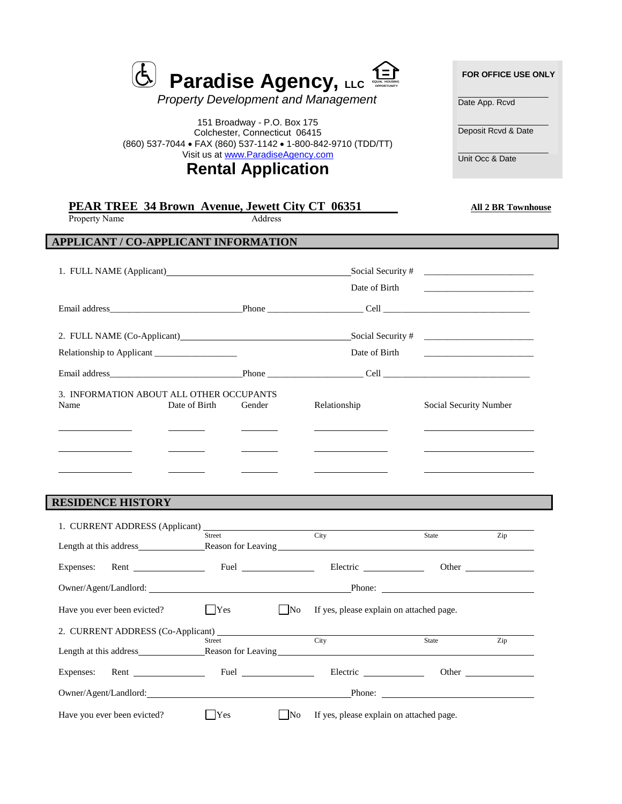| <sup>5</sup> Paradise Agency, LLC $\triangleq$ |  |
|------------------------------------------------|--|
|                                                |  |

*Property Development and Management* 

151 Broadway - P.O. Box 175 Colchester, Connecticut 06415 (860) 537-7044 FAX [\(860\) 537-1142](http://www.paradiseagency.com/)  1-800-842-9710 (TDD/TT) Visit us at www.ParadiseAgency.com

## **Rental Application**

 **FOR OFFICE USE ONLY**  $\mathcal{L}=\mathcal{L}$  , we can also the set of the set of the set of the set of the set of the set of the set of the set of the set of the set of the set of the set of the set of the set of the set of the set of the set of the s

Date App. Rcvd

 $\_$ Deposit Rcvd & Date

 $\mathcal{L}=\mathcal{L}$  , we can also the set of the set of the set of the set of the set of the set of the set of the set of the set of the set of the set of the set of the set of the set of the set of the set of the set of the s Unit Occ & Date

| Property Name                                    | Address                                                                                                                                                                                                                                                                        |                                                                                                                                                                                                                                |                        |                                         |
|--------------------------------------------------|--------------------------------------------------------------------------------------------------------------------------------------------------------------------------------------------------------------------------------------------------------------------------------|--------------------------------------------------------------------------------------------------------------------------------------------------------------------------------------------------------------------------------|------------------------|-----------------------------------------|
| APPLICANT / CO-APPLICANT INFORMATION             |                                                                                                                                                                                                                                                                                |                                                                                                                                                                                                                                |                        |                                         |
|                                                  |                                                                                                                                                                                                                                                                                |                                                                                                                                                                                                                                |                        |                                         |
|                                                  |                                                                                                                                                                                                                                                                                | Date of Birth                                                                                                                                                                                                                  |                        |                                         |
|                                                  |                                                                                                                                                                                                                                                                                |                                                                                                                                                                                                                                |                        |                                         |
|                                                  |                                                                                                                                                                                                                                                                                |                                                                                                                                                                                                                                |                        |                                         |
| Relationship to Applicant                        |                                                                                                                                                                                                                                                                                | Date of Birth                                                                                                                                                                                                                  |                        | <u> 1990 - Johann Barbara, martin a</u> |
|                                                  |                                                                                                                                                                                                                                                                                |                                                                                                                                                                                                                                |                        |                                         |
| 3. INFORMATION ABOUT ALL OTHER OCCUPANTS<br>Name | Date of Birth<br>Gender                                                                                                                                                                                                                                                        | Relationship                                                                                                                                                                                                                   | Social Security Number |                                         |
|                                                  |                                                                                                                                                                                                                                                                                |                                                                                                                                                                                                                                |                        |                                         |
|                                                  |                                                                                                                                                                                                                                                                                |                                                                                                                                                                                                                                |                        |                                         |
|                                                  |                                                                                                                                                                                                                                                                                |                                                                                                                                                                                                                                |                        |                                         |
|                                                  |                                                                                                                                                                                                                                                                                |                                                                                                                                                                                                                                |                        |                                         |
| <b>RESIDENCE HISTORY</b>                         |                                                                                                                                                                                                                                                                                |                                                                                                                                                                                                                                |                        |                                         |
|                                                  |                                                                                                                                                                                                                                                                                | Citv                                                                                                                                                                                                                           |                        |                                         |
|                                                  | Street                                                                                                                                                                                                                                                                         |                                                                                                                                                                                                                                | State                  | Zip                                     |
|                                                  |                                                                                                                                                                                                                                                                                |                                                                                                                                                                                                                                |                        |                                         |
|                                                  |                                                                                                                                                                                                                                                                                | Owner/Agent/Landlord: Phone: Phone: Phone: Phone: Phone: Phone: Phone: Phone: Phone: Phone: Phone: Phone: Phone: Phone: Phone: Phone: Phone: Phone: Phone: Phone: Phone: Phone: Phone: Phone: Phone: Phone: Phone: Phone: Phon |                        |                                         |
| Have you ever been evicted?                      | $ $ $ $ $ $ $ $ $\sqrt{2}$ $ $ $\sqrt{2}$ $ $ $\sqrt{2}$ $ $ $\sqrt{2}$ $ $ $\sqrt{2}$ $ $ $\sqrt{2}$ $ $ $\sqrt{2}$ $ $ $\sqrt{2}$ $ $ $\sqrt{2}$ $ $ $\sqrt{2}$ $ $ $\sqrt{2}$ $ $ $\sqrt{2}$ $ $ $\sqrt{2}$ $ $ $\sqrt{2}$ $ $ $\sqrt{2}$ $ $ $\sqrt{2}$ $ $ $\sqrt{2}$ $ $ | No If yes, please explain on attached page.                                                                                                                                                                                    |                        |                                         |
|                                                  |                                                                                                                                                                                                                                                                                |                                                                                                                                                                                                                                |                        |                                         |
|                                                  | Street                                                                                                                                                                                                                                                                         | City<br>Length at this address Reason for Leaving                                                                                                                                                                              | State                  | Zip                                     |
| Expenses:                                        |                                                                                                                                                                                                                                                                                | Fuel Electric                                                                                                                                                                                                                  |                        | Other                                   |
|                                                  |                                                                                                                                                                                                                                                                                | Owner/Agent/Landlord: Phone: Phone: Phone: Phone: Phone: Phone: Phone: Phone: Phone: Phone: Phone: Phone: Phone: Phone: Phone: Phone: Phone: Phone: Phone: Phone: Phone: Phone: Phone: Phone: Phone: Phone: Phone: Phone: Phon |                        |                                         |
| Have you ever been evicted?                      | $ $ Yes                                                                                                                                                                                                                                                                        | $\overline{\rm No}$<br>If yes, please explain on attached page.                                                                                                                                                                |                        |                                         |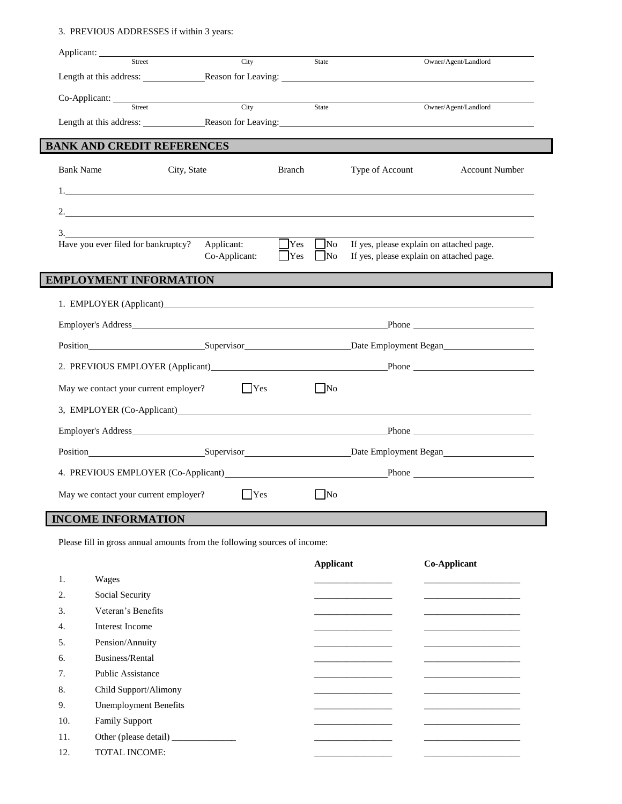### 3. PREVIOUS ADDRESSES if within 3 years:

| Applicant:<br>Street                                                |             | City          |                           | State                        |                                                                                      | Owner/Agent/Landlord  |
|---------------------------------------------------------------------|-------------|---------------|---------------------------|------------------------------|--------------------------------------------------------------------------------------|-----------------------|
| Length at this address: Reason for Leaving:                         |             |               |                           |                              |                                                                                      |                       |
|                                                                     |             |               |                           |                              |                                                                                      |                       |
|                                                                     |             | City          |                           | State                        |                                                                                      | Owner/Agent/Landlord  |
| Length at this address:<br>Reason for Leaving:                      |             |               |                           |                              |                                                                                      |                       |
| <b>BANK AND CREDIT REFERENCES</b>                                   |             |               |                           |                              |                                                                                      |                       |
| <b>Bank Name</b>                                                    | City, State |               | <b>Branch</b>             |                              | Type of Account                                                                      | <b>Account Number</b> |
|                                                                     |             |               |                           |                              |                                                                                      |                       |
| 2. $\qquad \qquad \qquad$                                           |             |               |                           |                              |                                                                                      |                       |
| 3.                                                                  |             |               |                           |                              |                                                                                      |                       |
| Have you ever filed for bankruptcy?                                 |             | Applicant:    | $\Box$ Yes<br>$ $ $ $ Yes | N <sub>0</sub><br>$\vert$ No | If yes, please explain on attached page.<br>If yes, please explain on attached page. |                       |
|                                                                     |             | Co-Applicant: |                           |                              |                                                                                      |                       |
| <b>EMPLOYMENT INFORMATION</b>                                       |             |               |                           |                              |                                                                                      |                       |
| 1. EMPLOYER (Applicant)                                             |             |               |                           |                              |                                                                                      |                       |
|                                                                     |             |               |                           |                              |                                                                                      |                       |
|                                                                     |             |               |                           |                              |                                                                                      |                       |
|                                                                     |             |               |                           |                              |                                                                                      |                       |
|                                                                     |             | $ $ Yes       |                           | $\vert$ No                   |                                                                                      |                       |
| May we contact your current employer?<br>3, EMPLOYER (Co-Applicant) |             |               |                           |                              |                                                                                      |                       |
|                                                                     |             |               |                           |                              |                                                                                      |                       |
|                                                                     |             |               |                           |                              |                                                                                      |                       |
| 4. PREVIOUS EMPLOYER (Co-Applicant) Phone Phone                     |             |               |                           |                              |                                                                                      |                       |

Please fill in gross annual amounts from the following sources of income:

|     |                              | <b>Applicant</b> | Co-Applicant |
|-----|------------------------------|------------------|--------------|
| 1.  | Wages                        |                  |              |
| 2.  | Social Security              |                  |              |
| 3.  | Veteran's Benefits           |                  |              |
| 4.  | Interest Income              |                  |              |
| 5.  | Pension/Annuity              |                  |              |
| 6.  | Business/Rental              |                  |              |
| 7.  | <b>Public Assistance</b>     |                  |              |
| 8.  | Child Support/Alimony        |                  |              |
| 9.  | <b>Unemployment Benefits</b> |                  |              |
| 10. | <b>Family Support</b>        |                  |              |
| 11. |                              |                  |              |
| 12. | <b>TOTAL INCOME:</b>         |                  |              |